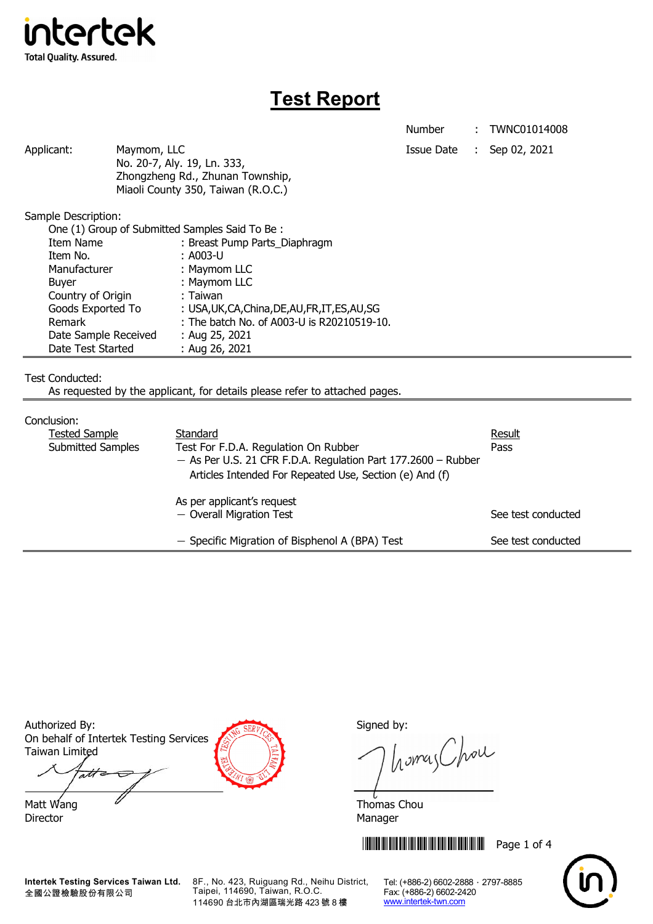

# **Test Report**

Number : TWNC01014008

Applicant: Maymom, LLC Maymon, ILC Applicant: Sep 02, 2021 No. 20-7, Aly. 19, Ln. 333, Zhongzheng Rd., Zhunan Township, Miaoli County 350, Taiwan (R.O.C.)

Sample Description:

| One (1) Group of Submitted Samples Said To Be: |                                                  |  |
|------------------------------------------------|--------------------------------------------------|--|
| Item Name                                      | : Breast Pump Parts_Diaphragm                    |  |
| Item No.                                       | : A003-U                                         |  |
| Manufacturer                                   | : Maymom LLC                                     |  |
| <b>Buyer</b>                                   | : Maymom LLC                                     |  |
| Country of Origin                              | : Taiwan                                         |  |
| Goods Exported To                              | : USA, UK, CA, China, DE, AU, FR, IT, ES, AU, SG |  |
| Remark                                         | : The batch No. of A003-U is R20210519-10.       |  |
| Date Sample Received                           | : Aug 25, 2021                                   |  |
| Date Test Started                              | : Aug 26, 2021                                   |  |

Test Conducted:

As requested by the applicant, for details please refer to attached pages.

#### Conclusion:

| <u>Conciusión.</u>       |                                                                 |                    |
|--------------------------|-----------------------------------------------------------------|--------------------|
| <b>Tested Sample</b>     | Standard                                                        | Result             |
| <b>Submitted Samples</b> | Test For F.D.A. Regulation On Rubber                            | Pass               |
|                          | $-$ As Per U.S. 21 CFR F.D.A. Regulation Part 177.2600 – Rubber |                    |
|                          | Articles Intended For Repeated Use, Section (e) And (f)         |                    |
|                          | As per applicant's request                                      |                    |
|                          | - Overall Migration Test                                        | See test conducted |
|                          |                                                                 |                    |
|                          | - Specific Migration of Bisphenol A (BPA) Test                  | See test conducted |

Authorized By: Signed by: Signed by: On behalf of Intertek Testing Services Taiwan Limited att

Matt Wang  $\overline{a}$  Matt Wang  $\overline{a}$ Director Manager

homas Chou

**THEFT IN THE THEFT IN THE THEFT IN THE THEFT Page 1 of 4** 



**Intertek Testing Services Taiwan Ltd.** 全國公證檢驗股份有限公司

8F., No. 423, Ruiguang Rd., Neihu District, Taipei, 114690, Taiwan, R.O.C. 114690 台北市內湖區瑞光路 423 號 8 樓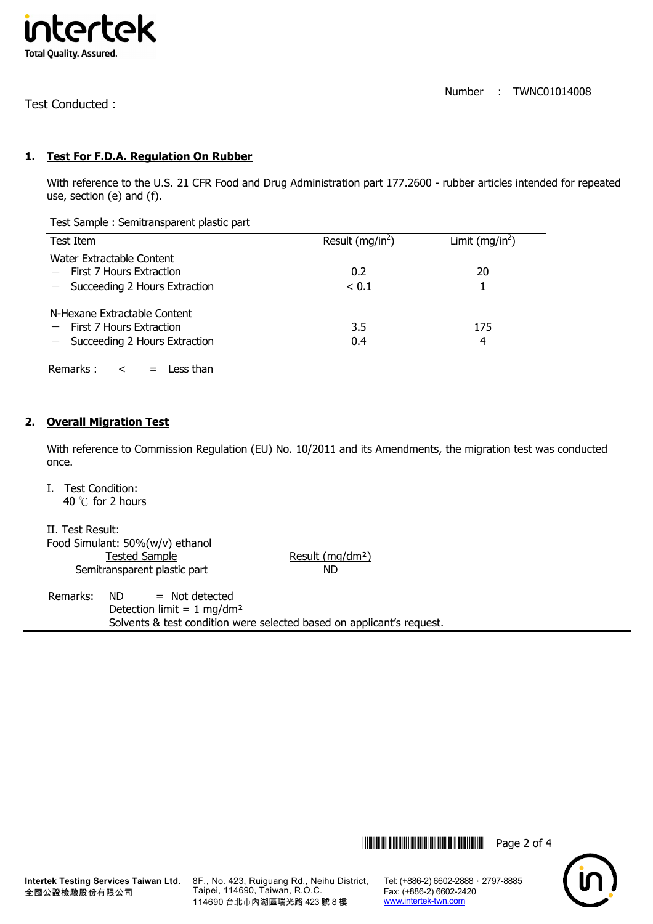

Number : TWNC01014008

Test Conducted :

## **1. Test For F.D.A. Regulation On Rubber**

With reference to the U.S. 21 CFR Food and Drug Administration part 177.2600 - rubber articles intended for repeated use, section (e) and (f).

Test Sample : Semitransparent plastic part

| Test Item                                                 | Result $(mq/in2)$ | Limit (mg/in <sup>2</sup> ) |
|-----------------------------------------------------------|-------------------|-----------------------------|
| Water Extractable Content<br>$-$ First 7 Hours Extraction | 0.2               | 20                          |
| $-$ Succeeding 2 Hours Extraction                         | < 0.1             |                             |
| l N-Hexane Extractable Content.                           |                   |                             |
| First 7 Hours Extraction                                  | 3.5               | 175                         |
| $-$ Succeeding 2 Hours Extraction                         | 0.4               |                             |

Remarks :  $\lt$  = Less than

#### **2. Overall Migration Test**

With reference to Commission Regulation (EU) No. 10/2011 and its Amendments, the migration test was conducted once.

I. Test Condition: 40 ℃ for 2 hours

II. Test Result: Food Simulant: 50%(w/v) ethanol Tested Sample Result (mg/dm<sup>2</sup>) Semitransparent plastic part ND

Remarks: ND = Not detected Detection limit =  $1$  mg/dm<sup>2</sup> Solvents & test condition were selected based on applicant's request.

\*THJ1014008\* Page 2 of 4



8F., No. 423, Ruiguang Rd., Neihu District, Taipei, 114690, Taiwan, R.O.C. 114690 台北市內湖區瑞光路 423 號 8 樓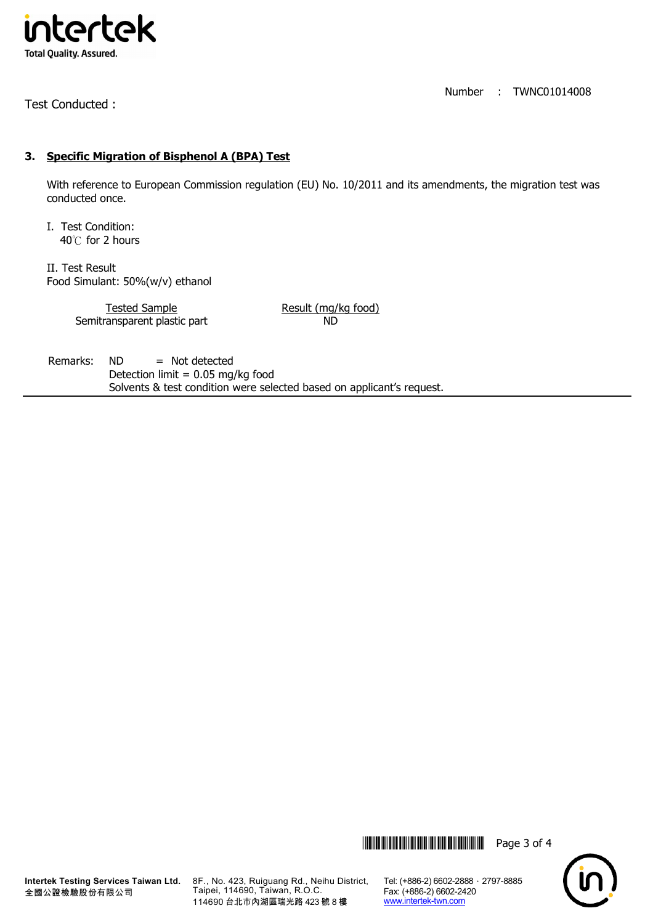

Test Conducted :

Number : TWNC01014008

## **3. Specific Migration of Bisphenol A (BPA) Test**

With reference to European Commission regulation (EU) No. 10/2011 and its amendments, the migration test was conducted once.

I. Test Condition: 40℃ for 2 hours

II. Test Result Food Simulant: 50%(w/v) ethanol

> Tested Sample Result (mg/kg food) Semitransparent plastic part ND

Remarks: ND = Not detected Detection limit =  $0.05$  mg/kg food Solvents & test condition were selected based on applicant's request.

\*THJ1014008\* Page 3 of 4



8F., No. 423, Ruiguang Rd., Neihu District, Taipei, 114690, Taiwan, R.O.C. 114690 台北市內湖區瑞光路 423 號 8 樓